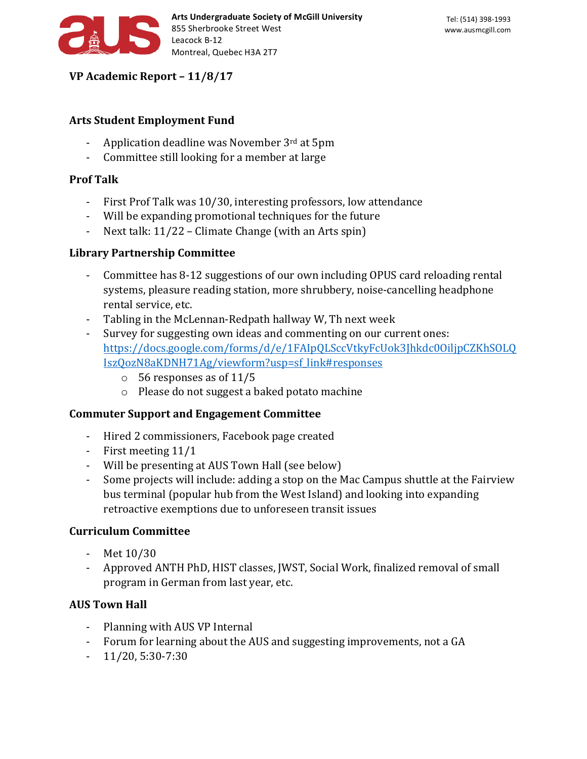

**VP Academic Report – 11/8/17**

## **Arts Student Employment Fund**

- Application deadline was November  $3<sup>rd</sup>$  at  $5<sub>pm</sub>$
- Committee still looking for a member at large

# **Prof Talk**

- First Prof Talk was 10/30, interesting professors, low attendance
- Will be expanding promotional techniques for the future
- Next talk:  $11/22$  Climate Change (with an Arts spin)

#### **Library Partnership Committee**

- Committee has 8-12 suggestions of our own including OPUS card reloading rental systems, pleasure reading station, more shrubbery, noise-cancelling headphone rental service, etc.
- Tabling in the McLennan-Redpath hallway W, Th next week
- Survey for suggesting own ideas and commenting on our current ones: https://docs.google.com/forms/d/e/1FAIpQLSccVtkyFcUok3Jhkdc0OiljpCZKhSOLQ IszQozN8aKDNH71Ag/viewform?usp=sf\_link#responses
	- $\circ$  56 responses as of 11/5
	- $\circ$  Please do not suggest a baked potato machine

#### **Commuter Support and Engagement Committee**

- Hired 2 commissioners, Facebook page created
- First meeting  $11/1$
- Will be presenting at AUS Town Hall (see below)
- Some projects will include: adding a stop on the Mac Campus shuttle at the Fairview bus terminal (popular hub from the West Island) and looking into expanding retroactive exemptions due to unforeseen transit issues

#### **Curriculum Committee**

- $-$  Met  $10/30$
- Approved ANTH PhD, HIST classes, JWST, Social Work, finalized removal of small program in German from last year, etc.

# **AUS Town Hall**

- Planning with AUS VP Internal
- Forum for learning about the AUS and suggesting improvements, not a GA
- $-11/20, 5:30-7:30$